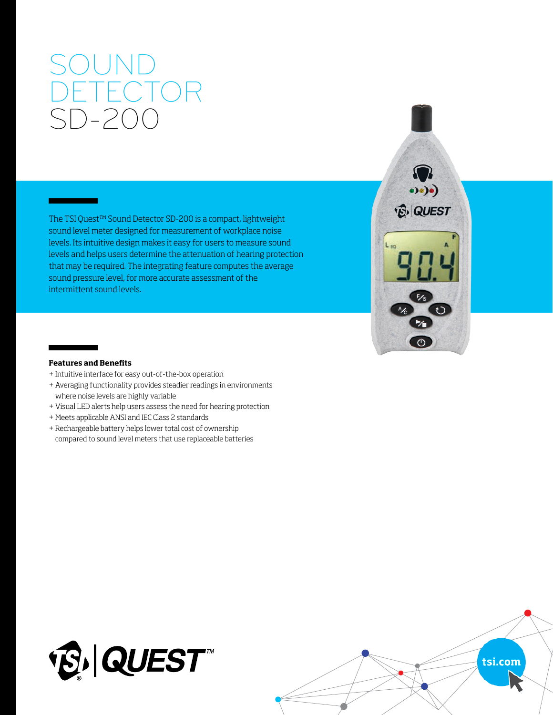# SOUND DETECTOR SD-200

The TSI Quest™ Sound Detector SD-200 is a compact, lightweight sound level meter designed for measurement of workplace noise levels. Its intuitive design makes it easy for users to measure sound levels and helps users determine the attenuation of hearing protection that may be required. The integrating feature computes the average sound pressure level, for more accurate assessment of the intermittent sound levels.



## **Features and Benefits**

- + Intuitive interface for easy out-of-the-box operation
- + Averaging functionality provides steadier readings in environments where noise levels are highly variable
- + Visual LED alerts help users assess the need for hearing protection
- + Meets applicable ANSI and IEC Class 2 standards
- + Rechargeable battery helps lower total cost of ownership compared to sound level meters that use replaceable batteries